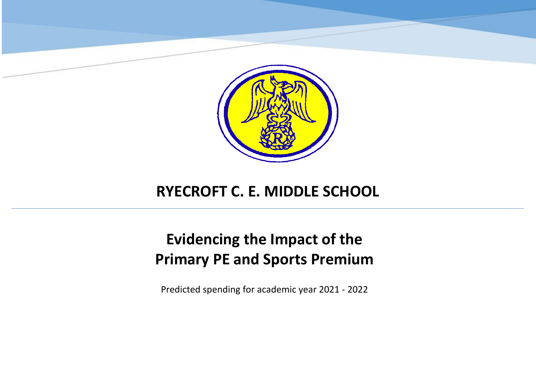

## **RYECROFT C. E. MIDDLE SCHOOL**

## **Evidencing the Impact of the Primary PE and Sports Premium**

Predicted spending for academic year 2021 - 2022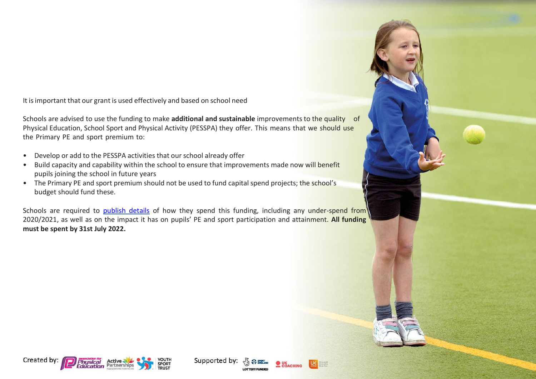It isimportant that our grant is used effectively and based on school need

Schools are advised to use the funding to make **additional and sustainable** improvements to the quality of Physical Education, School Sport and Physical Activity (PESSPA) they offer. This means that we should use the Primary PE and sport premium to:

- Develop or add to the PESSPA activities that our school already offer
- Build capacity and capability within the school to ensure that improvements made now will benefit pupils joining the school in future years
- The Primary PE and sport premium should not be used to fund capital spend projects; the school's budget should fund these.

Schools are required to [publish details](https://www.gov.uk/guidance/what-maintained-schools-must-publish-online#pe-and-sport-premium-for-primary-schools) of how they spend this funding, including any under-spend from 2020/2021, as well as on the impact it has on pupils' PE and sport participation and attainment. **All funding must be spent by 31st July 2022.**



Supported by:

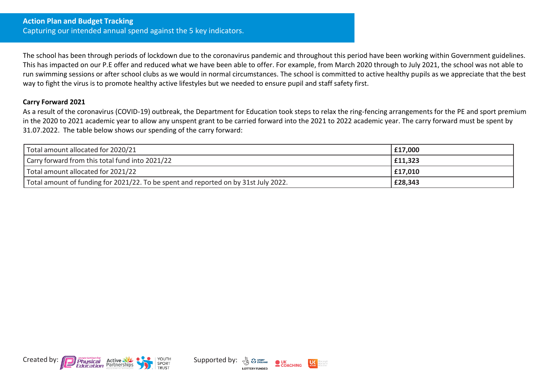The school has been through periods of lockdown due to the coronavirus pandemic and throughout this period have been working within Government guidelines. This has impacted on our P.E offer and reduced what we have been able to offer. For example, from March 2020 through to July 2021, the school was not able to run swimming sessions or after school clubs as we would in normal circumstances. The school is committed to active healthy pupils as we appreciate that the best way to fight the virus is to promote healthy active lifestyles but we needed to ensure pupil and staff safety first.

## **Carry Forward 2021**

As a result of the coronavirus (COVID-19) outbreak, the Department for Education took steps to relax the ring-fencing arrangements for the PE and sport premium in the 2020 to 2021 academic year to allow any unspent grant to be carried forward into the 2021 to 2022 academic year. The carry forward must be spent by 31.07.2022. The table below shows our spending of the carry forward:

| Total amount allocated for 2020/21                                                  | £17,000 |
|-------------------------------------------------------------------------------------|---------|
| Carry forward from this total fund into 2021/22                                     | £11,323 |
| Total amount allocated for 2021/22                                                  | £17,010 |
| Total amount of funding for 2021/22. To be spent and reported on by 31st July 2022. | £28,343 |



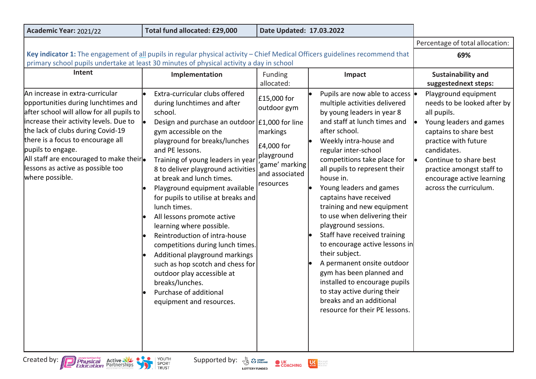| Academic Year: 2021/22                                                                                                                                                                                                                                                                                                                                          | Total fund allocated: £29,000                                                                                                                                                                                                                                                                                                                                                                                                                                                                                                                                                                                                                                                                                           | Date Updated: 17.03.2022                                                                                            |                                                                                                                                                                                                                                                                                                                                                                                                                                                                                                                                                                                                                                                                                                       |                                                                                                                                                                                                                                                                              |
|-----------------------------------------------------------------------------------------------------------------------------------------------------------------------------------------------------------------------------------------------------------------------------------------------------------------------------------------------------------------|-------------------------------------------------------------------------------------------------------------------------------------------------------------------------------------------------------------------------------------------------------------------------------------------------------------------------------------------------------------------------------------------------------------------------------------------------------------------------------------------------------------------------------------------------------------------------------------------------------------------------------------------------------------------------------------------------------------------------|---------------------------------------------------------------------------------------------------------------------|-------------------------------------------------------------------------------------------------------------------------------------------------------------------------------------------------------------------------------------------------------------------------------------------------------------------------------------------------------------------------------------------------------------------------------------------------------------------------------------------------------------------------------------------------------------------------------------------------------------------------------------------------------------------------------------------------------|------------------------------------------------------------------------------------------------------------------------------------------------------------------------------------------------------------------------------------------------------------------------------|
|                                                                                                                                                                                                                                                                                                                                                                 |                                                                                                                                                                                                                                                                                                                                                                                                                                                                                                                                                                                                                                                                                                                         |                                                                                                                     |                                                                                                                                                                                                                                                                                                                                                                                                                                                                                                                                                                                                                                                                                                       | Percentage of total allocation:                                                                                                                                                                                                                                              |
| Key indicator 1: The engagement of all pupils in regular physical activity - Chief Medical Officers guidelines recommend that<br>primary school pupils undertake at least 30 minutes of physical activity a day in school                                                                                                                                       |                                                                                                                                                                                                                                                                                                                                                                                                                                                                                                                                                                                                                                                                                                                         |                                                                                                                     | 69%                                                                                                                                                                                                                                                                                                                                                                                                                                                                                                                                                                                                                                                                                                   |                                                                                                                                                                                                                                                                              |
| Intent                                                                                                                                                                                                                                                                                                                                                          | Implementation                                                                                                                                                                                                                                                                                                                                                                                                                                                                                                                                                                                                                                                                                                          | <b>Funding</b><br>allocated:                                                                                        | Impact                                                                                                                                                                                                                                                                                                                                                                                                                                                                                                                                                                                                                                                                                                | <b>Sustainability and</b><br>suggestednext steps:                                                                                                                                                                                                                            |
| An increase in extra-curricular<br>opportunities during lunchtimes and<br>after school will allow for all pupils to<br>increase their activity levels. Due to<br>the lack of clubs during Covid-19<br>there is a focus to encourage all<br>pupils to engage.<br>All staff are encouraged to make their.<br>lessons as active as possible too<br>where possible. | Extra-curricular clubs offered<br>during lunchtimes and after<br>school.<br>Design and purchase an outdoor $ £1,000$ for line<br>gym accessible on the<br>playground for breaks/lunches<br>and PE lessons.<br>Training of young leaders in year<br>8 to deliver playground activities<br>at break and lunch times.<br>Playground equipment available<br>for pupils to utilise at breaks and<br>lunch times.<br>All lessons promote active<br>learning where possible.<br>Reintroduction of intra-house<br>competitions during lunch times.<br>Additional playground markings<br>such as hop scotch and chess for<br>outdoor play accessible at<br>breaks/lunches.<br>Purchase of additional<br>equipment and resources. | £15,000 for<br>outdoor gym<br>markings<br>£4,000 for<br>playground<br>'game' marking<br>and associated<br>resources | Pupils are now able to access  <br>multiple activities delivered<br>by young leaders in year 8<br>and staff at lunch times and<br>after school.<br>Weekly intra-house and<br>regular inter-school<br>competitions take place for<br>all pupils to represent their<br>house in.<br>Young leaders and games<br>captains have received<br>training and new equipment<br>to use when delivering their<br>playground sessions.<br>Staff have received training<br>to encourage active lessons in<br>their subject.<br>A permanent onsite outdoor<br>gym has been planned and<br>installed to encourage pupils<br>to stay active during their<br>breaks and an additional<br>resource for their PE lessons. | Playground equipment<br>needs to be looked after by<br>all pupils.<br>Young leaders and games<br>captains to share best<br>practice with future<br>candidates.<br>Continue to share best<br>practice amongst staff to<br>encourage active learning<br>across the curriculum. |
| Created by: <b>Physical</b> Active<br><b>By PE SPORT</b><br>YOUTH<br>Supported by:<br>$\bullet$ UK<br>COACHING<br>U <sub>active</sub><br>Abrepeople<br>Abreactive<br>Abreckten<br>SPORT<br>TRUST<br><b>LOTTERY FUNDED</b>                                                                                                                                       |                                                                                                                                                                                                                                                                                                                                                                                                                                                                                                                                                                                                                                                                                                                         |                                                                                                                     |                                                                                                                                                                                                                                                                                                                                                                                                                                                                                                                                                                                                                                                                                                       |                                                                                                                                                                                                                                                                              |



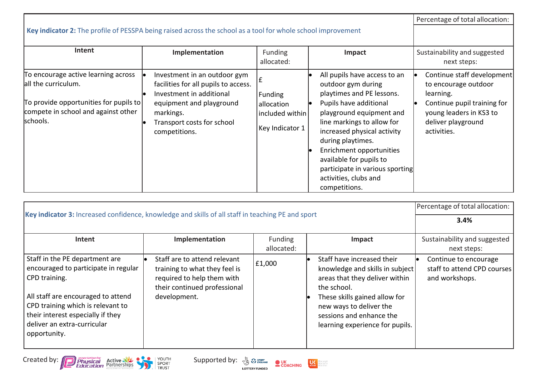|                                                                                                                                                         |                                                                                                                                                                                          |                                                                    |                                                                                                                                                                                                                                                                                                                                                             | Percentage of total allocation:                                                                                                                                |
|---------------------------------------------------------------------------------------------------------------------------------------------------------|------------------------------------------------------------------------------------------------------------------------------------------------------------------------------------------|--------------------------------------------------------------------|-------------------------------------------------------------------------------------------------------------------------------------------------------------------------------------------------------------------------------------------------------------------------------------------------------------------------------------------------------------|----------------------------------------------------------------------------------------------------------------------------------------------------------------|
| Key indicator 2: The profile of PESSPA being raised across the school as a tool for whole school improvement                                            |                                                                                                                                                                                          |                                                                    |                                                                                                                                                                                                                                                                                                                                                             |                                                                                                                                                                |
| Intent                                                                                                                                                  | Implementation                                                                                                                                                                           | Funding<br>allocated:                                              | Impact                                                                                                                                                                                                                                                                                                                                                      | Sustainability and suggested<br>next steps:                                                                                                                    |
| To encourage active learning across<br>all the curriculum.<br>To provide opportunities for pupils to<br>compete in school and against other<br>schools. | Investment in an outdoor gym<br>facilities for all pupils to access.<br>Investment in additional<br>equipment and playground<br>markings.<br>Transport costs for school<br>competitions. | <b>Funding</b><br>allocation<br>included within<br>Key Indicator 1 | All pupils have access to an<br>outdoor gym during<br>playtimes and PE lessons.<br>Pupils have additional<br>playground equipment and<br>line markings to allow for<br>increased physical activity<br>during playtimes.<br>Enrichment opportunities<br>available for pupils to<br>participate in various sporting<br>activities, clubs and<br>competitions. | Continue staff development<br>to encourage outdoor<br>learning.<br>Continue pupil training for<br>young leaders in KS3 to<br>deliver playground<br>activities. |

|                                                                                                                                                                                                                                                        |                                                                                                                                             |                              |                                                                                                                                                                                                                                           | Percentage of total allocation:                                        |
|--------------------------------------------------------------------------------------------------------------------------------------------------------------------------------------------------------------------------------------------------------|---------------------------------------------------------------------------------------------------------------------------------------------|------------------------------|-------------------------------------------------------------------------------------------------------------------------------------------------------------------------------------------------------------------------------------------|------------------------------------------------------------------------|
| Key indicator 3: Increased confidence, knowledge and skills of all staff in teaching PE and sport                                                                                                                                                      |                                                                                                                                             |                              | 3.4%                                                                                                                                                                                                                                      |                                                                        |
| Intent                                                                                                                                                                                                                                                 | Implementation                                                                                                                              | <b>Funding</b><br>allocated: | Impact                                                                                                                                                                                                                                    | Sustainability and suggested<br>next steps:                            |
| Staff in the PE department are<br>encouraged to participate in regular<br>CPD training.<br>All staff are encouraged to attend<br>CPD training which is relevant to<br>their interest especially if they<br>deliver an extra-curricular<br>opportunity. | Staff are to attend relevant<br>training to what they feel is<br>required to help them with<br>their continued professional<br>development. | £1,000                       | Staff have increased their<br>knowledge and skills in subject<br>areas that they deliver within<br>the school.<br>These skills gained allow for<br>new ways to deliver the<br>sessions and enhance the<br>learning experience for pupils. | Continue to encourage<br>staff to attend CPD courses<br>and workshops. |



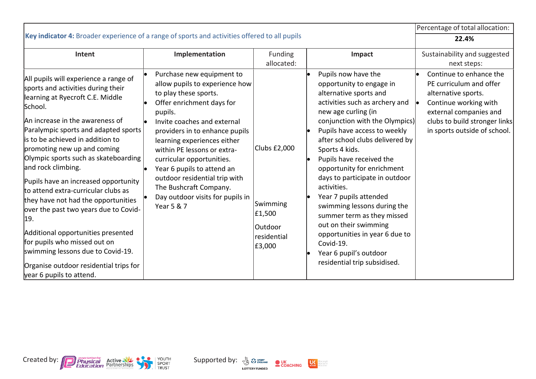|                                                                                                                                                                                                                                                                                                                                                                                                                                                                                                                                                                                                                                                                                                |                                                                                                                                                                                                                                                                                                                                                                                                        |                                                                         |                                                                                                                                                                                                                                                                                                                                                                                                                                                                                                                                                                        | Percentage of total allocation:                                                                                                                                    |
|------------------------------------------------------------------------------------------------------------------------------------------------------------------------------------------------------------------------------------------------------------------------------------------------------------------------------------------------------------------------------------------------------------------------------------------------------------------------------------------------------------------------------------------------------------------------------------------------------------------------------------------------------------------------------------------------|--------------------------------------------------------------------------------------------------------------------------------------------------------------------------------------------------------------------------------------------------------------------------------------------------------------------------------------------------------------------------------------------------------|-------------------------------------------------------------------------|------------------------------------------------------------------------------------------------------------------------------------------------------------------------------------------------------------------------------------------------------------------------------------------------------------------------------------------------------------------------------------------------------------------------------------------------------------------------------------------------------------------------------------------------------------------------|--------------------------------------------------------------------------------------------------------------------------------------------------------------------|
| Key indicator 4: Broader experience of a range of sports and activities offered to all pupils                                                                                                                                                                                                                                                                                                                                                                                                                                                                                                                                                                                                  |                                                                                                                                                                                                                                                                                                                                                                                                        |                                                                         |                                                                                                                                                                                                                                                                                                                                                                                                                                                                                                                                                                        | 22.4%                                                                                                                                                              |
| Intent                                                                                                                                                                                                                                                                                                                                                                                                                                                                                                                                                                                                                                                                                         | Implementation<br>Purchase new equipment to                                                                                                                                                                                                                                                                                                                                                            | Funding<br>allocated:                                                   | Impact<br>Pupils now have the                                                                                                                                                                                                                                                                                                                                                                                                                                                                                                                                          | Sustainability and suggested<br>next steps:<br>Continue to enhance the                                                                                             |
| All pupils will experience a range of<br>sports and activities during their<br>learning at Ryecroft C.E. Middle<br>School.<br>An increase in the awareness of<br>Paralympic sports and adapted sports<br>lis to be achieved in addition to<br>promoting new up and coming<br>Olympic sports such as skateboarding<br>and rock climbing.<br>Pupils have an increased opportunity<br>to attend extra-curricular clubs as<br>they have not had the opportunities<br>over the past two years due to Covid-<br>19.<br>Additional opportunities presented<br>for pupils who missed out on<br>swimming lessons due to Covid-19.<br>Organise outdoor residential trips for<br>year 6 pupils to attend. | allow pupils to experience how<br>to play these sports.<br>Offer enrichment days for<br>pupils.<br>Invite coaches and external<br>providers in to enhance pupils<br>learning experiences either<br>within PE lessons or extra-<br>curricular opportunities.<br>Year 6 pupils to attend an<br>outdoor residential trip with<br>The Bushcraft Company.<br>Day outdoor visits for pupils in<br>Year 5 & 7 | Clubs £2,000<br>Swimming<br>£1,500<br>lOutdoor<br>residential<br>£3,000 | opportunity to engage in<br>alternative sports and<br>activities such as archery and<br>new age curling (in<br>conjunction with the Olympics)<br>Pupils have access to weekly<br>after school clubs delivered by<br>Sports 4 kids.<br>Pupils have received the<br>opportunity for enrichment<br>days to participate in outdoor<br>activities.<br>Year 7 pupils attended<br>swimming lessons during the<br>summer term as they missed<br>out on their swimming<br>opportunities in year 6 due to<br>Covid-19.<br>Year 6 pupil's outdoor<br>residential trip subsidised. | PE curriculum and offer<br>alternative sports.<br>Continue working with<br>external companies and<br>clubs to build stronger links<br>in sports outside of school. |



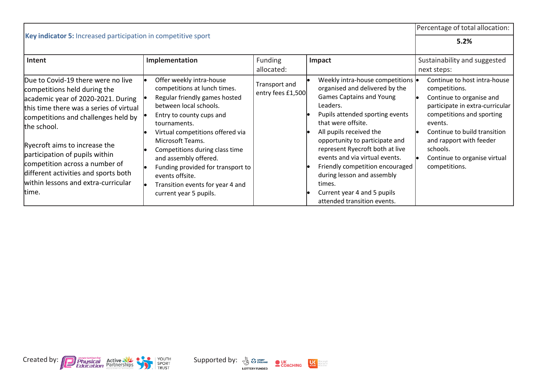|                                                                                                                                                                                                                                                                                                                                                                                                        |                                                                                                                                                                                                                                                                                                                                                                                                          |                                    |                                                                                                                                                                                                                                                                                                                                                                                                                                                         | Percentage of total allocation:                                                                                                                                                                                                                                              |
|--------------------------------------------------------------------------------------------------------------------------------------------------------------------------------------------------------------------------------------------------------------------------------------------------------------------------------------------------------------------------------------------------------|----------------------------------------------------------------------------------------------------------------------------------------------------------------------------------------------------------------------------------------------------------------------------------------------------------------------------------------------------------------------------------------------------------|------------------------------------|---------------------------------------------------------------------------------------------------------------------------------------------------------------------------------------------------------------------------------------------------------------------------------------------------------------------------------------------------------------------------------------------------------------------------------------------------------|------------------------------------------------------------------------------------------------------------------------------------------------------------------------------------------------------------------------------------------------------------------------------|
| Key indicator 5: Increased participation in competitive sport                                                                                                                                                                                                                                                                                                                                          |                                                                                                                                                                                                                                                                                                                                                                                                          |                                    |                                                                                                                                                                                                                                                                                                                                                                                                                                                         | 5.2%                                                                                                                                                                                                                                                                         |
| Intent                                                                                                                                                                                                                                                                                                                                                                                                 | Implementation                                                                                                                                                                                                                                                                                                                                                                                           | <b>Funding</b><br>allocated:       | Impact                                                                                                                                                                                                                                                                                                                                                                                                                                                  | Sustainability and suggested<br>next steps:                                                                                                                                                                                                                                  |
| Due to Covid-19 there were no live<br>competitions held during the<br>academic year of 2020-2021. During<br>this time there was a series of virtual<br>competitions and challenges held by<br>the school.<br>Ryecroft aims to increase the<br>participation of pupils within<br>competition across a number of<br>different activities and sports both<br>within lessons and extra-curricular<br>time. | Offer weekly intra-house<br>competitions at lunch times.<br>Regular friendly games hosted<br>between local schools.<br>Entry to county cups and<br>tournaments.<br>Virtual competitions offered via<br>Microsoft Teams.<br>Competitions during class time<br>and assembly offered.<br>Funding provided for transport to<br>events offsite.<br>Transition events for year 4 and<br>current year 5 pupils. | Transport and<br>entry fees £1,500 | Weekly intra-house competitions  .<br>organised and delivered by the<br><b>Games Captains and Young</b><br>Leaders.<br>Pupils attended sporting events<br>that were offsite.<br>All pupils received the<br>opportunity to participate and<br>represent Ryecroft both at live<br>events and via virtual events.<br>Friendly competition encouraged<br>during lesson and assembly<br>times.<br>Current year 4 and 5 pupils<br>attended transition events. | Continue to host intra-house<br>competitions.<br>Continue to organise and<br>participate in extra-curricular<br>competitions and sporting<br>events.<br>Continue to build transition<br>and rapport with feeder<br>schools.<br>Continue to organise virtual<br>competitions. |